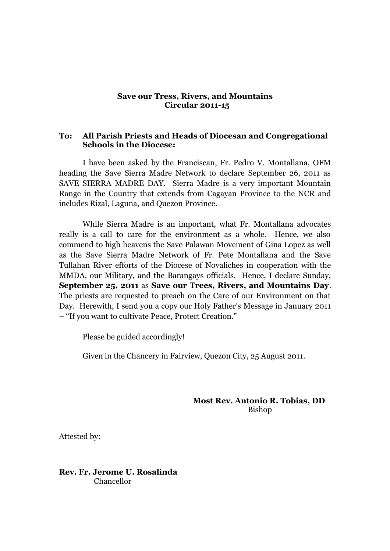## **Save our Tress, Rivers, and Mountains Circular 2011-15**

# **To: All Parish Priests and Heads of Diocesan and Congregational Schools in the Diocese:**

I have been asked by the Franciscan, Fr. Pedro V. Montallana, OFM heading the Save Sierra Madre Network to declare September 26, 2011 as SAVE SIERRA MADRE DAY. Sierra Madre is a very important Mountain Range in the Country that extends from Cagayan Province to the NCR and includes Rizal, Laguna, and Quezon Province.

While Sierra Madre is an important, what Fr. Montallana advocates really is a call to care for the environment as a whole. Hence, we also commend to high heavens the Save Palawan Movement of Gina Lopez as well as the Save Sierra Madre Network of Fr. Pete Montallana and the Save Tullahan River efforts of the Diocese of Novaliches in cooperation with the MMDA, our Military, and the Barangays officials. Hence, I declare Sunday, **September 25, 2011** as **Save our Trees, Rivers, and Mountains Day**. The priests are requested to preach on the Care of our Environment on that Day. Herewith, I send you a copy our Holy Father's Message in January 2011 – "If you want to cultivate Peace, Protect Creation."

Please be guided accordingly!

Given in the Chancery in Fairview, Quezon City, 25 August 2011.

 **Most Rev. Antonio R. Tobias, DD** Bishop

Attested by:

**Rev. Fr. Jerome U. Rosalinda** Chancellor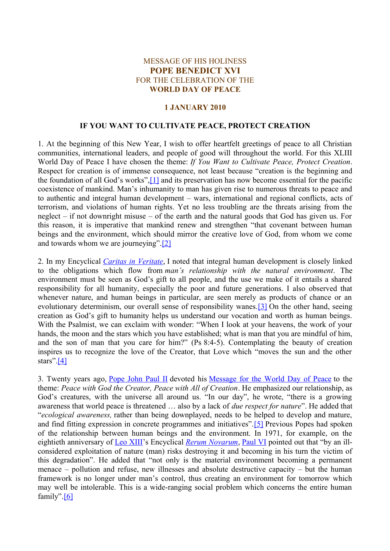# MESSAGE OF HIS HOLINESS **POPE BENEDICT XVI** FOR THE CELEBRATION OF THE **WORLD DAY OF PEACE**

#### **1 JANUARY 2010**

### **IF YOU WANT TO CULTIVATE PEACE, PROTECT CREATION**

1. At the beginning of this New Year, I wish to offer heartfelt greetings of peace to all Christian communities, international leaders, and people of good will throughout the world. For this XLIII World Day of Peace I have chosen the theme: *If You Want to Cultivate Peace, Protect Creation*. Respect for creation is of immense consequence, not least because "creation is the beginning and the foundation of all God's works", [1] and its preservation has now become essential for the pacific coexistence of mankind. Man's inhumanity to man has given rise to numerous threats to peace and to authentic and integral human development – wars, international and regional conflicts, acts of terrorism, and violations of human rights. Yet no less troubling are the threats arising from the neglect – if not downright misuse – of the earth and the natural goods that God has given us. For this reason, it is imperative that mankind renew and strengthen "that covenant between human beings and the environment, which should mirror the creative love of God, from whom we come and towards whom we are journeying"[.\[2\]](http://www.vatican.va/holy_father/benedict_xvi/messages/peace/documents/hf_ben-xvi_mes_20091208_xliii-world-day-peace_en.html#_edn2)

2. In my Encyclical *[Caritas in Veritate](http://www.vatican.va/holy_father/benedict_xvi/encyclicals/documents/hf_ben-xvi_enc_20090629_caritas-in-veritate_en.html)*, I noted that integral human development is closely linked to the obligations which flow from *man's relationship with the natural environment*. The environment must be seen as God's gift to all people, and the use we make of it entails a shared responsibility for all humanity, especially the poor and future generations. I also observed that whenever nature, and human beings in particular, are seen merely as products of chance or an evolutionary determinism, our overall sense of responsibility wanes[.\[3\]](http://www.vatican.va/holy_father/benedict_xvi/messages/peace/documents/hf_ben-xvi_mes_20091208_xliii-world-day-peace_en.html#_edn3) On the other hand, seeing creation as God's gift to humanity helps us understand our vocation and worth as human beings. With the Psalmist, we can exclaim with wonder: "When I look at your heavens, the work of your hands, the moon and the stars which you have established; what is man that you are mindful of him, and the son of man that you care for him?" (Ps 8:4-5). Contemplating the beauty of creation inspires us to recognize the love of the Creator, that Love which "moves the sun and the other stars". $[4]$ 

3. Twenty years ago, [Pope John Paul II](http://www.vatican.va/holy_father/john_paul_ii/index.htm) devoted his [Message for the World Day of Peace](http://www.vatican.va/holy_father/john_paul_ii/messages/peace/documents/hf_jp-ii_mes_19891208_xxiii-world-day-for-peace_en.html) to the theme: *Peace with God the Creator, Peace with All of Creation*. He emphasized our relationship, as God's creatures, with the universe all around us. "In our day", he wrote, "there is a growing awareness that world peace is threatened … also by a lack of *due respect for nature*". He added that "*ecological awareness,* rather than being downplayed, needs to be helped to develop and mature, and find fitting expression in concrete programmes and initiatives"[.\[5\]](http://www.vatican.va/holy_father/benedict_xvi/messages/peace/documents/hf_ben-xvi_mes_20091208_xliii-world-day-peace_en.html#_edn5) Previous Popes had spoken of the relationship between human beings and the environment. In 1971, for example, on the eightieth anniversary of [Leo XIII'](http://www.vatican.va/holy_father/leo_xiii/index.htm)s Encyclical *[Rerum Novarum](http://www.vatican.va/holy_father/leo_xiii/encyclicals/documents/hf_l-xiii_enc_15051891_rerum-novarum_en.html)*, [Paul VI](http://www.vatican.va/holy_father/paul_vi/index.htm) pointed out that "by an illconsidered exploitation of nature (man) risks destroying it and becoming in his turn the victim of this degradation". He added that "not only is the material environment becoming a permanent menace – pollution and refuse, new illnesses and absolute destructive capacity – but the human framework is no longer under man's control, thus creating an environment for tomorrow which may well be intolerable. This is a wide-ranging social problem which concerns the entire human family". $[6]$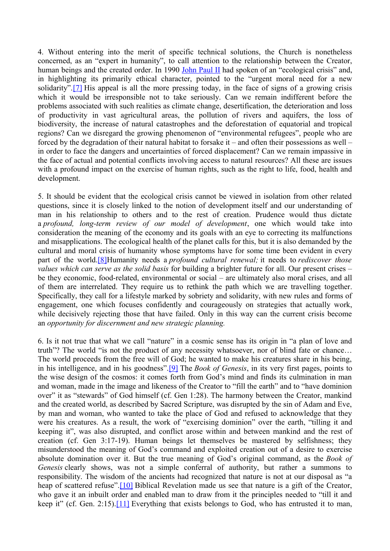4. Without entering into the merit of specific technical solutions, the Church is nonetheless concerned, as an "expert in humanity", to call attention to the relationship between the Creator, human beings and the created order. In 1990 [John Paul II](http://www.vatican.va/holy_father/john_paul_ii/index.htm) had spoken of an "ecological crisis" and, in highlighting its primarily ethical character, pointed to the "urgent moral need for a new solidarity".<sup>[7]</sup> His appeal is all the more pressing today, in the face of signs of a growing crisis which it would be irresponsible not to take seriously. Can we remain indifferent before the problems associated with such realities as climate change, desertification, the deterioration and loss of productivity in vast agricultural areas, the pollution of rivers and aquifers, the loss of biodiversity, the increase of natural catastrophes and the deforestation of equatorial and tropical regions? Can we disregard the growing phenomenon of "environmental refugees", people who are forced by the degradation of their natural habitat to forsake it – and often their possessions as well – in order to face the dangers and uncertainties of forced displacement? Can we remain impassive in the face of actual and potential conflicts involving access to natural resources? All these are issues with a profound impact on the exercise of human rights, such as the right to life, food, health and development.

5. It should be evident that the ecological crisis cannot be viewed in isolation from other related questions, since it is closely linked to the notion of development itself and our understanding of man in his relationship to others and to the rest of creation. Prudence would thus dictate a *profound, long-term review of our model of development*, one which would take into consideration the meaning of the economy and its goals with an eye to correcting its malfunctions and misapplications. The ecological health of the planet calls for this, but it is also demanded by the cultural and moral crisis of humanity whose symptoms have for some time been evident in every part of the world[.\[8\]H](http://www.vatican.va/holy_father/benedict_xvi/messages/peace/documents/hf_ben-xvi_mes_20091208_xliii-world-day-peace_en.html#_edn8)umanity needs a *profound cultural renewal;* it needs to *rediscover those values which can serve as the solid basis* for building a brighter future for all. Our present crises – be they economic, food-related, environmental or social – are ultimately also moral crises, and all of them are interrelated. They require us to rethink the path which we are travelling together. Specifically, they call for a lifestyle marked by sobriety and solidarity, with new rules and forms of engagement, one which focuses confidently and courageously on strategies that actually work, while decisively rejecting those that have failed. Only in this way can the current crisis become an *opportunity for discernment and new strategic planning.*

6. Is it not true that what we call "nature" in a cosmic sense has its origin in "a plan of love and truth"? The world "is not the product of any necessity whatsoever, nor of blind fate or chance… The world proceeds from the free will of God; he wanted to make his creatures share in his being, in his intelligence, and in his goodness"[.\[9\]](http://www.vatican.va/holy_father/benedict_xvi/messages/peace/documents/hf_ben-xvi_mes_20091208_xliii-world-day-peace_en.html#_edn9) The *Book of Genesis*, in its very first pages, points to the wise design of the cosmos: it comes forth from God's mind and finds its culmination in man and woman, made in the image and likeness of the Creator to "fill the earth" and to "have dominion over" it as "stewards" of God himself (cf. Gen 1:28). The harmony between the Creator, mankind and the created world, as described by Sacred Scripture, was disrupted by the sin of Adam and Eve, by man and woman, who wanted to take the place of God and refused to acknowledge that they were his creatures. As a result, the work of "exercising dominion" over the earth, "tilling it and keeping it", was also disrupted, and conflict arose within and between mankind and the rest of creation (cf. Gen 3:17-19). Human beings let themselves be mastered by selfishness; they misunderstood the meaning of God's command and exploited creation out of a desire to exercise absolute domination over it. But the true meaning of God's original command, as the *Book of Genesis* clearly shows, was not a simple conferral of authority, but rather a summons to responsibility. The wisdom of the ancients had recognized that nature is not at our disposal as "a heap of scattered refuse".<sup>[10]</sup> Biblical Revelation made us see that nature is a gift of the Creator, who gave it an inbuilt order and enabled man to draw from it the principles needed to "till it and keep it" (cf. Gen. 2:15). $[11]$  Everything that exists belongs to God, who has entrusted it to man,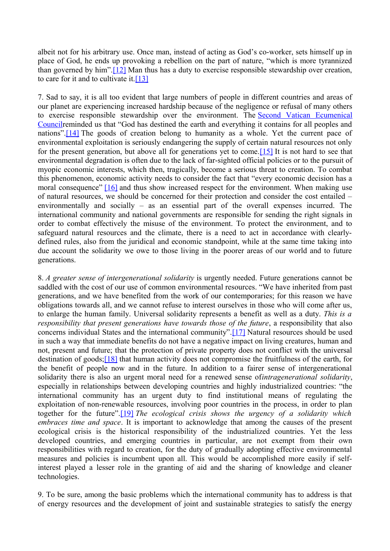albeit not for his arbitrary use. Once man, instead of acting as God's co-worker, sets himself up in place of God, he ends up provoking a rebellion on the part of nature, "which is more tyrannized than governed by him".[\[12\]](http://www.vatican.va/holy_father/benedict_xvi/messages/peace/documents/hf_ben-xvi_mes_20091208_xliii-world-day-peace_en.html#_edn12) Man thus has a duty to exercise responsible stewardship over creation, to care for it and to cultivate it.  $[13]$ 

7. Sad to say, it is all too evident that large numbers of people in different countries and areas of our planet are experiencing increased hardship because of the negligence or refusal of many others to exercise responsible stewardship over the environment. The [Second Vatican Ecumenical](http://www.vatican.va/archive/hist_councils/ii_vatican_council/index.htm) [Councilr](http://www.vatican.va/archive/hist_councils/ii_vatican_council/index.htm)eminded us that "God has destined the earth and everything it contains for all peoples and nations"[.\[14\]](http://www.vatican.va/holy_father/benedict_xvi/messages/peace/documents/hf_ben-xvi_mes_20091208_xliii-world-day-peace_en.html#_edn14) The goods of creation belong to humanity as a whole. Yet the current pace of environmental exploitation is seriously endangering the supply of certain natural resources not only for the present generation, but above all for generations yet to come. [15] It is not hard to see that environmental degradation is often due to the lack of far-sighted official policies or to the pursuit of myopic economic interests, which then, tragically, become a serious threat to creation. To combat this phenomenon, economic activity needs to consider the fact that "every economic decision has a moral consequence"  $[16]$  and thus show increased respect for the environment. When making use of natural resources, we should be concerned for their protection and consider the cost entailed – environmentally and socially – as an essential part of the overall expenses incurred. The international community and national governments are responsible for sending the right signals in order to combat effectively the misuse of the environment. To protect the environment, and to safeguard natural resources and the climate, there is a need to act in accordance with clearlydefined rules, also from the juridical and economic standpoint, while at the same time taking into due account the solidarity we owe to those living in the poorer areas of our world and to future generations.

8. *A greater sense of intergenerational solidarity* is urgently needed. Future generations cannot be saddled with the cost of our use of common environmental resources. "We have inherited from past generations, and we have benefited from the work of our contemporaries; for this reason we have obligations towards all, and we cannot refuse to interest ourselves in those who will come after us, to enlarge the human family. Universal solidarity represents a benefit as well as a duty. *This is a responsibility that present generations have towards those of the future*, a responsibility that also concerns individual States and the international community".[\[17\]](http://www.vatican.va/holy_father/benedict_xvi/messages/peace/documents/hf_ben-xvi_mes_20091208_xliii-world-day-peace_en.html#_edn17) Natural resources should be used in such a way that immediate benefits do not have a negative impact on living creatures, human and not, present and future; that the protection of private property does not conflict with the universal destination of goods[;\[18\]](http://www.vatican.va/holy_father/benedict_xvi/messages/peace/documents/hf_ben-xvi_mes_20091208_xliii-world-day-peace_en.html#_edn18) that human activity does not compromise the fruitfulness of the earth, for the benefit of people now and in the future. In addition to a fairer sense of intergenerational solidarity there is also an urgent moral need for a renewed sense of*intragenerational solidarity*, especially in relationships between developing countries and highly industrialized countries: "the international community has an urgent duty to find institutional means of regulating the exploitation of non-renewable resources, involving poor countries in the process, in order to plan together for the future"[.\[19\]](http://www.vatican.va/holy_father/benedict_xvi/messages/peace/documents/hf_ben-xvi_mes_20091208_xliii-world-day-peace_en.html#_edn19) *The ecological crisis shows the urgency of a solidarity which embraces time and space*. It is important to acknowledge that among the causes of the present ecological crisis is the historical responsibility of the industrialized countries. Yet the less developed countries, and emerging countries in particular, are not exempt from their own responsibilities with regard to creation, for the duty of gradually adopting effective environmental measures and policies is incumbent upon all. This would be accomplished more easily if selfinterest played a lesser role in the granting of aid and the sharing of knowledge and cleaner technologies.

9. To be sure, among the basic problems which the international community has to address is that of energy resources and the development of joint and sustainable strategies to satisfy the energy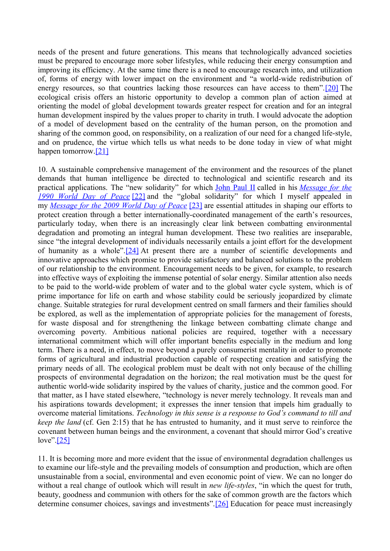needs of the present and future generations. This means that technologically advanced societies must be prepared to encourage more sober lifestyles, while reducing their energy consumption and improving its efficiency. At the same time there is a need to encourage research into, and utilization of, forms of energy with lower impact on the environment and "a world-wide redistribution of energy resources, so that countries lacking those resources can have access to them".<sup>[20]</sup> The ecological crisis offers an historic opportunity to develop a common plan of action aimed at orienting the model of global development towards greater respect for creation and for an integral human development inspired by the values proper to charity in truth. I would advocate the adoption of a model of development based on the centrality of the human person, on the promotion and sharing of the common good, on responsibility, on a realization of our need for a changed life-style, and on prudence, the virtue which tells us what needs to be done today in view of what might happen tomorrow.<sup>[21]</sup>

10. A sustainable comprehensive management of the environment and the resources of the planet demands that human intelligence be directed to technological and scientific research and its practical applications. The "new solidarity" for which [John Paul II](http://www.vatican.va/holy_father/john_paul_ii/index.htm) called in his *[Message for the](http://www.vatican.va/holy_father/john_paul_ii/messages/peace/documents/hf_jp-ii_mes_19891208_xxiii-world-day-for-peace_en.html) [1990 World Day of Peace](http://www.vatican.va/holy_father/john_paul_ii/messages/peace/documents/hf_jp-ii_mes_19891208_xxiii-world-day-for-peace_en.html)* [\[22\]](http://www.vatican.va/holy_father/benedict_xvi/messages/peace/documents/hf_ben-xvi_mes_20091208_xliii-world-day-peace_en.html#_edn22) and the "global solidarity" for which I myself appealed in my *[Message for the 2009 World Day of Peace](http://www.vatican.va/holy_father/benedict_xvi/messages/peace/documents/hf_ben-xvi_mes_20081208_xlii-world-day-peace_en.html)* [\[23\]](http://www.vatican.va/holy_father/benedict_xvi/messages/peace/documents/hf_ben-xvi_mes_20091208_xliii-world-day-peace_en.html#_edn23) are essential attitudes in shaping our efforts to protect creation through a better internationally-coordinated management of the earth's resources, particularly today, when there is an increasingly clear link between combatting environmental degradation and promoting an integral human development. These two realities are inseparable, since "the integral development of individuals necessarily entails a joint effort for the development of humanity as a whole"[.\[24\]](http://www.vatican.va/holy_father/benedict_xvi/messages/peace/documents/hf_ben-xvi_mes_20091208_xliii-world-day-peace_en.html#_edn24) At present there are a number of scientific developments and innovative approaches which promise to provide satisfactory and balanced solutions to the problem of our relationship to the environment. Encouragement needs to be given, for example, to research into effective ways of exploiting the immense potential of solar energy. Similar attention also needs to be paid to the world-wide problem of water and to the global water cycle system, which is of prime importance for life on earth and whose stability could be seriously jeopardized by climate change. Suitable strategies for rural development centred on small farmers and their families should be explored, as well as the implementation of appropriate policies for the management of forests, for waste disposal and for strengthening the linkage between combatting climate change and overcoming poverty. Ambitious national policies are required, together with a necessary international commitment which will offer important benefits especially in the medium and long term. There is a need, in effect, to move beyond a purely consumerist mentality in order to promote forms of agricultural and industrial production capable of respecting creation and satisfying the primary needs of all. The ecological problem must be dealt with not only because of the chilling prospects of environmental degradation on the horizon; the real motivation must be the quest for authentic world-wide solidarity inspired by the values of charity, justice and the common good. For that matter, as I have stated elsewhere, "technology is never merely technology. It reveals man and his aspirations towards development; it expresses the inner tension that impels him gradually to overcome material limitations. *Technology in this sense is a response to God's command to till and keep the land* (cf. Gen 2:15) that he has entrusted to humanity, and it must serve to reinforce the covenant between human beings and the environment, a covenant that should mirror God's creative  $love".[25]$  $love".[25]$ 

11. It is becoming more and more evident that the issue of environmental degradation challenges us to examine our life-style and the prevailing models of consumption and production, which are often unsustainable from a social, environmental and even economic point of view. We can no longer do without a real change of outlook which will result in *new life-styles*, "in which the quest for truth, beauty, goodness and communion with others for the sake of common growth are the factors which determine consumer choices, savings and investments".<sup>[\[26\]](http://www.vatican.va/holy_father/benedict_xvi/messages/peace/documents/hf_ben-xvi_mes_20091208_xliii-world-day-peace_en.html#_edn26)</sup> Education for peace must increasingly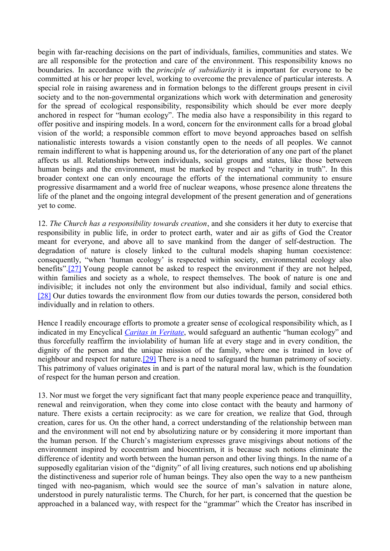begin with far-reaching decisions on the part of individuals, families, communities and states. We are all responsible for the protection and care of the environment. This responsibility knows no boundaries. In accordance with the *principle of subsidiarity* it is important for everyone to be committed at his or her proper level, working to overcome the prevalence of particular interests. A special role in raising awareness and in formation belongs to the different groups present in civil society and to the non-governmental organizations which work with determination and generosity for the spread of ecological responsibility, responsibility which should be ever more deeply anchored in respect for "human ecology". The media also have a responsibility in this regard to offer positive and inspiring models. In a word, concern for the environment calls for a broad global vision of the world; a responsible common effort to move beyond approaches based on selfish nationalistic interests towards a vision constantly open to the needs of all peoples. We cannot remain indifferent to what is happening around us, for the deterioration of any one part of the planet affects us all. Relationships between individuals, social groups and states, like those between human beings and the environment, must be marked by respect and "charity in truth". In this broader context one can only encourage the efforts of the international community to ensure progressive disarmament and a world free of nuclear weapons, whose presence alone threatens the life of the planet and the ongoing integral development of the present generation and of generations yet to come.

12. *The Church has a responsibility towards creation*, and she considers it her duty to exercise that responsibility in public life, in order to protect earth, water and air as gifts of God the Creator meant for everyone, and above all to save mankind from the danger of self-destruction. The degradation of nature is closely linked to the cultural models shaping human coexistence: consequently, "when 'human ecology' is respected within society, environmental ecology also benefits"[.\[27\]](http://www.vatican.va/holy_father/benedict_xvi/messages/peace/documents/hf_ben-xvi_mes_20091208_xliii-world-day-peace_en.html#_edn27) Young people cannot be asked to respect the environment if they are not helped, within families and society as a whole, to respect themselves. The book of nature is one and indivisible; it includes not only the environment but also individual, family and social ethics. [\[28\]](http://www.vatican.va/holy_father/benedict_xvi/messages/peace/documents/hf_ben-xvi_mes_20091208_xliii-world-day-peace_en.html#_edn28) Our duties towards the environment flow from our duties towards the person, considered both individually and in relation to others.

Hence I readily encourage efforts to promote a greater sense of ecological responsibility which, as I indicated in my Encyclical *[Caritas in Veritate](http://www.vatican.va/holy_father/benedict_xvi/encyclicals/documents/hf_ben-xvi_enc_20090629_caritas-in-veritate_en.html)*, would safeguard an authentic "human ecology" and thus forcefully reaffirm the inviolability of human life at every stage and in every condition, the dignity of the person and the unique mission of the family, where one is trained in love of neighbour and respect for nature.<sup>[29]</sup> There is a need to safeguard the human patrimony of society. This patrimony of values originates in and is part of the natural moral law, which is the foundation of respect for the human person and creation.

13. Nor must we forget the very significant fact that many people experience peace and tranquillity, renewal and reinvigoration, when they come into close contact with the beauty and harmony of nature. There exists a certain reciprocity: as we care for creation, we realize that God, through creation, cares for us. On the other hand, a correct understanding of the relationship between man and the environment will not end by absolutizing nature or by considering it more important than the human person. If the Church's magisterium expresses grave misgivings about notions of the environment inspired by ecocentrism and biocentrism, it is because such notions eliminate the difference of identity and worth between the human person and other living things. In the name of a supposedly egalitarian vision of the "dignity" of all living creatures, such notions end up abolishing the distinctiveness and superior role of human beings. They also open the way to a new pantheism tinged with neo-paganism, which would see the source of man's salvation in nature alone, understood in purely naturalistic terms. The Church, for her part, is concerned that the question be approached in a balanced way, with respect for the "grammar" which the Creator has inscribed in